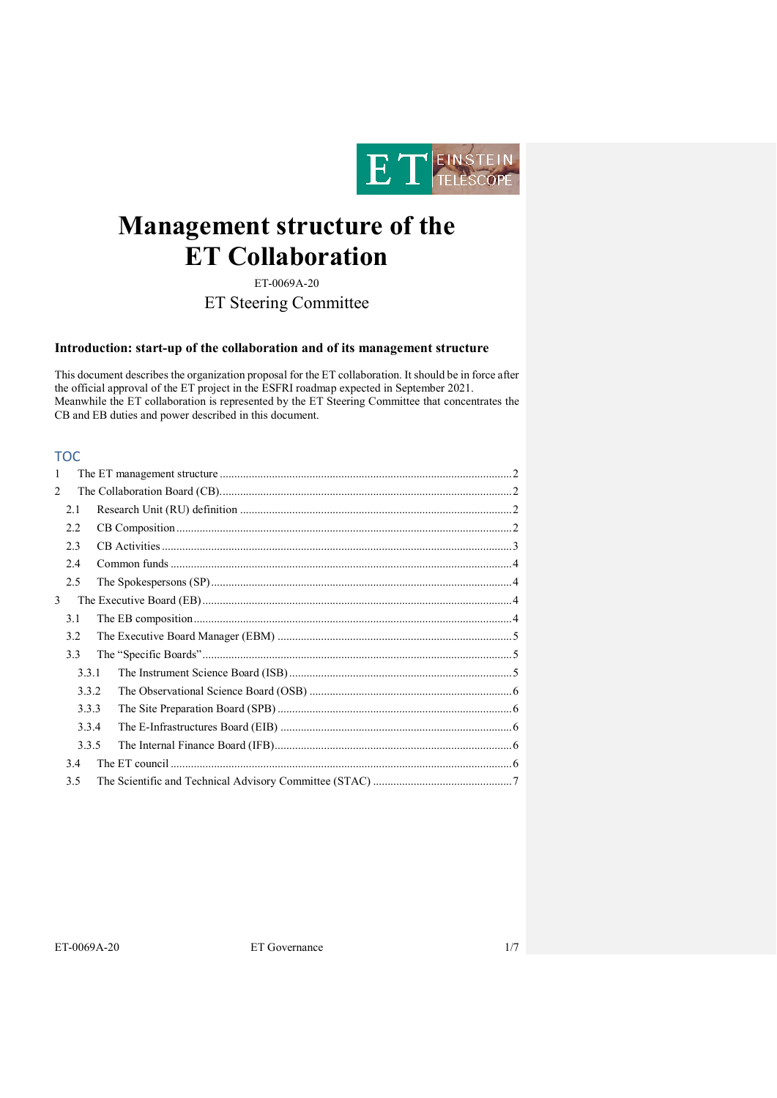

# **Management structure of the ET Collaboration**

ET-0069A-20

ET Steering Committee

# **Introduction: start-up of the collaboration and of its management structure**

This document describes the organization proposal for the ET collaboration. It should be in force after the official approval of the ET project in the ESFRI roadmap expected in September 2021. Meanwhile the ET collaboration is represented by the ET Steering Committee that concentrates the CB and EB duties and power described in this document.

# TOC

| 1 |       |  |  |  |
|---|-------|--|--|--|
| 2 |       |  |  |  |
|   | 2.1   |  |  |  |
|   | 2.2   |  |  |  |
|   | 2.3   |  |  |  |
|   | 2.4   |  |  |  |
|   | 2.5   |  |  |  |
| 3 |       |  |  |  |
|   | 3.1   |  |  |  |
|   | 3.2   |  |  |  |
|   | 3.3   |  |  |  |
|   | 3.3.1 |  |  |  |
|   | 3.3.2 |  |  |  |
|   | 3.3.3 |  |  |  |
|   | 3.3.4 |  |  |  |
|   | 3.3.5 |  |  |  |
|   | 3.4   |  |  |  |
|   | 3.5   |  |  |  |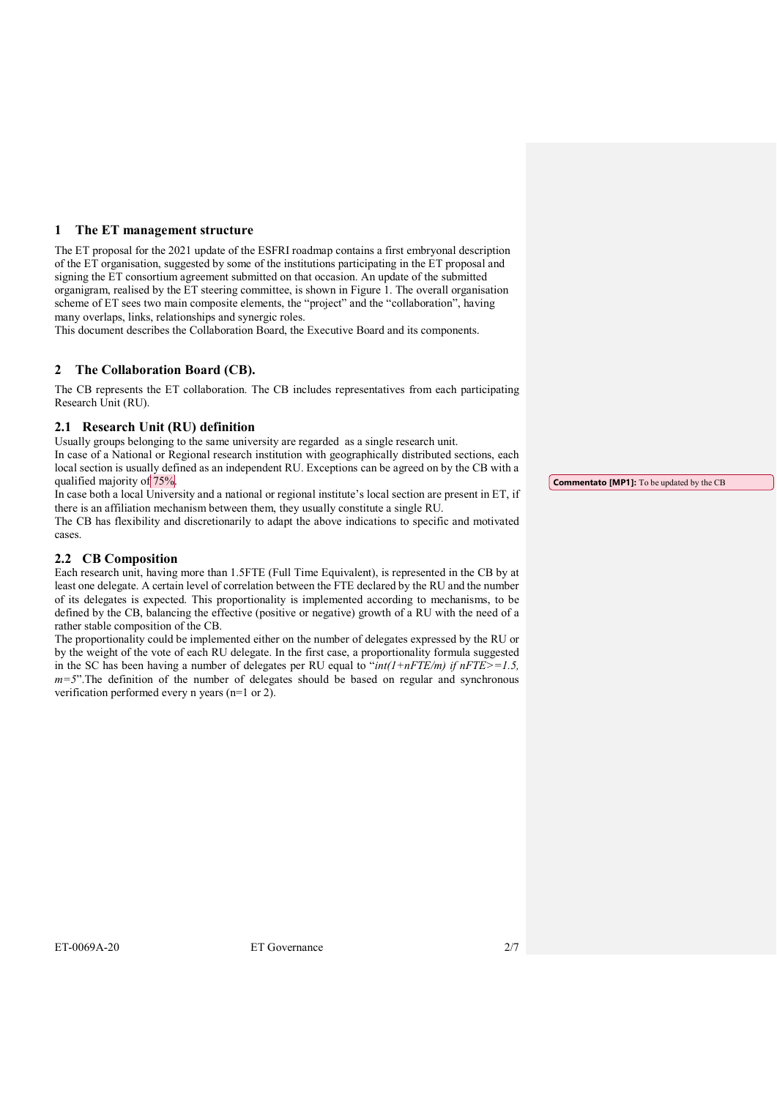## <span id="page-1-0"></span>**1 The ET management structure**

The ET proposal for the 2021 update of the ESFRI roadmap contains a first embryonal description of the ET organisation, suggested by some of the institutions participating in the ET proposal and signing the ET consortium agreement submitted on that occasion. An update of the submitted organigram, realised by the ET steering committee, is shown in [Figure 1.](#page-2-1) The overall organisation scheme of ET sees two main composite elements, the "project" and the "collaboration", having many overlaps, links, relationships and synergic roles.

This document describes the Collaboration Board, the Executive Board and its components.

# <span id="page-1-1"></span>**2 The Collaboration Board (CB).**

The CB represents the ET collaboration. The CB includes representatives from each participating Research Unit (RU).

### <span id="page-1-2"></span>**2.1 Research Unit (RU) definition**

Usually groups belonging to the same university are regarded as a single research unit. In case of a National or Regional research institution with geographically distributed sections, each local section is usually defined as an independent RU. Exceptions can be agreed on by the CB with a qualified majority of 75%.

In case both a local University and a national or regional institute's local section are present in ET, if there is an affiliation mechanism between them, they usually constitute a single RU. The CB has flexibility and discretionarily to adapt the above indications to specific and motivated cases.

# <span id="page-1-3"></span>**2.2 CB Composition**

Each research unit, having more than 1.5FTE (Full Time Equivalent), is represented in the CB by at least one delegate. A certain level of correlation between the FTE declared by the RU and the number of its delegates is expected. This proportionality is implemented according to mechanisms, to be defined by the CB, balancing the effective (positive or negative) growth of a RU with the need of a rather stable composition of the CB.

The proportionality could be implemented either on the number of delegates expressed by the RU or by the weight of the vote of each RU delegate. In the first case, a proportionality formula suggested in the SC has been having a number of delegates per RU equal to " $int(1+nFTE/m)$  if  $nFTE>=1.5$ , *m=5*".The definition of the number of delegates should be based on regular and synchronous verification performed every n years (n=1 or 2).

**Commentato [MP1]:** To be updated by the CB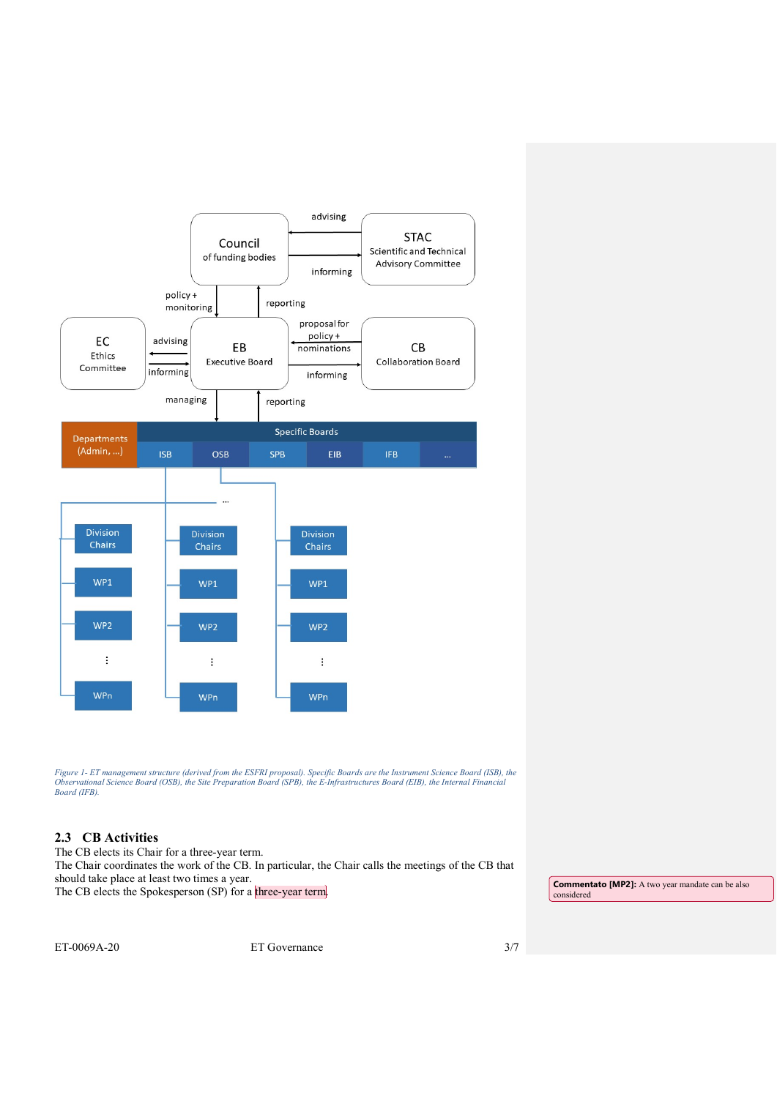

<span id="page-2-1"></span>Figure 1- ET management structure (derived from the ESFRI proposal). Specific Boards are the Instrument Science Board (ISB), the<br>Observational Science Board (OSB), the Site Preparation Board (SPB), the E-Infrastructures Bo *Board (IFB).*

# <span id="page-2-0"></span>**2.3 CB Activities**

The CB elects its Chair for a three-year term. The Chair coordinates the work of the CB. In particular, the Chair calls the meetings of the CB that should take place at least two times a year. Should take place at least two times a year.<br>The CB elects the Spokesperson (SP) for a three-year term.

considered

ET-0069A-20 ET Governance 3/7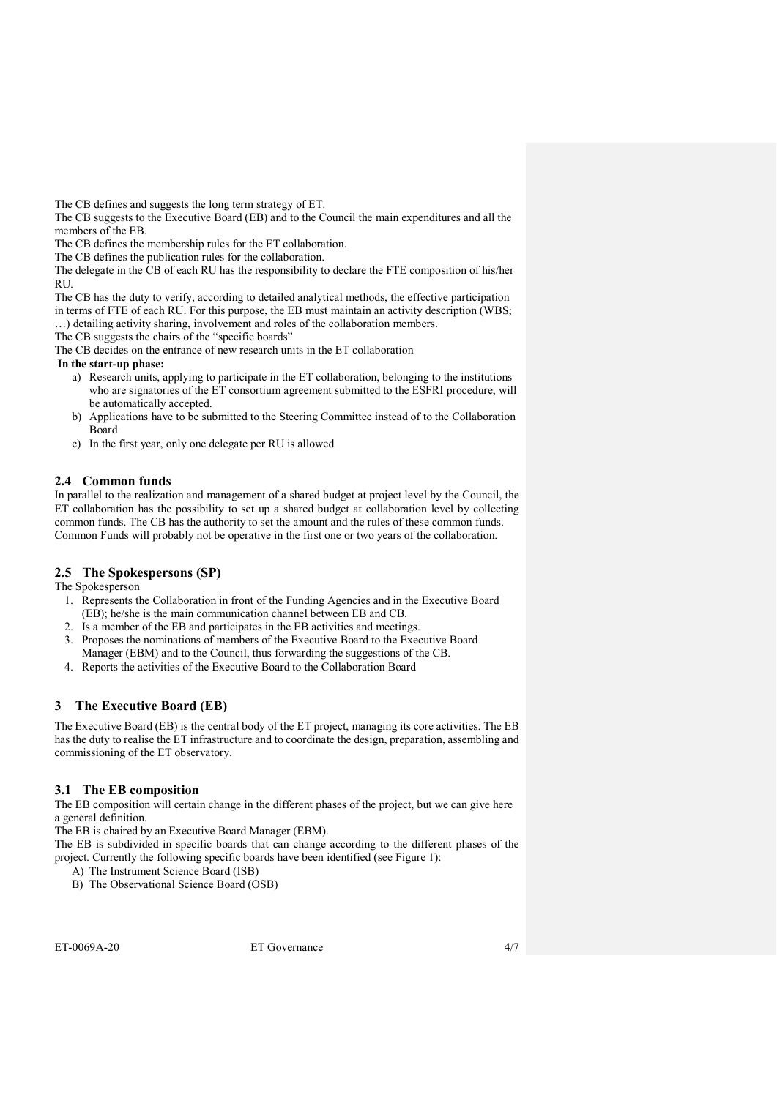The CB defines and suggests the long term strategy of ET.

The CB suggests to the Executive Board (EB) and to the Council the main expenditures and all the members of the EB.

The CB defines the membership rules for the ET collaboration.

The CB defines the publication rules for the collaboration.

The delegate in the CB of each RU has the responsibility to declare the FTE composition of his/her **RU** 

The CB has the duty to verify, according to detailed analytical methods, the effective participation in terms of FTE of each RU. For this purpose, the EB must maintain an activity description (WBS;

…) detailing activity sharing, involvement and roles of the collaboration members.

The CB suggests the chairs of the "specific boards"

The CB decides on the entrance of new research units in the ET collaboration

**In the start-up phase:**

- a) Research units, applying to participate in the ET collaboration, belonging to the institutions who are signatories of the ET consortium agreement submitted to the ESFRI procedure, will be automatically accepted.
- b) Applications have to be submitted to the Steering Committee instead of to the Collaboration Board
- c) In the first year, only one delegate per RU is allowed

# <span id="page-3-0"></span>**2.4 Common funds**

In parallel to the realization and management of a shared budget at project level by the Council, the ET collaboration has the possibility to set up a shared budget at collaboration level by collecting common funds. The CB has the authority to set the amount and the rules of these common funds. Common Funds will probably not be operative in the first one or two years of the collaboration.

# <span id="page-3-1"></span>**2.5 The Spokespersons (SP)**

The Spokesperson

- 1. Represents the Collaboration in front of the Funding Agencies and in the Executive Board (EB); he/she is the main communication channel between EB and CB.
- 2. Is a member of the EB and participates in the EB activities and meetings.
- 3. Proposes the nominations of members of the Executive Board to the Executive Board Manager (EBM) and to the Council, thus forwarding the suggestions of the CB.
- 4. Reports the activities of the Executive Board to the Collaboration Board

# <span id="page-3-2"></span>**3 The Executive Board (EB)**

The Executive Board (EB) is the central body of the ET project, managing its core activities. The EB has the duty to realise the ET infrastructure and to coordinate the design, preparation, assembling and commissioning of the ET observatory.

# <span id="page-3-3"></span>**3.1 The EB composition**

The EB composition will certain change in the different phases of the project, but we can give here a general definition.

The EB is chaired by an Executive Board Manager (EBM).

The EB is subdivided in specific boards that can change according to the different phases of the project. Currently the following specific boards have been identified (see [Figure 1\)](#page-2-1):

- A) The Instrument Science Board (ISB)
- B) The Observational Science Board (OSB)

ET-0069A-20 ET Governance 4/7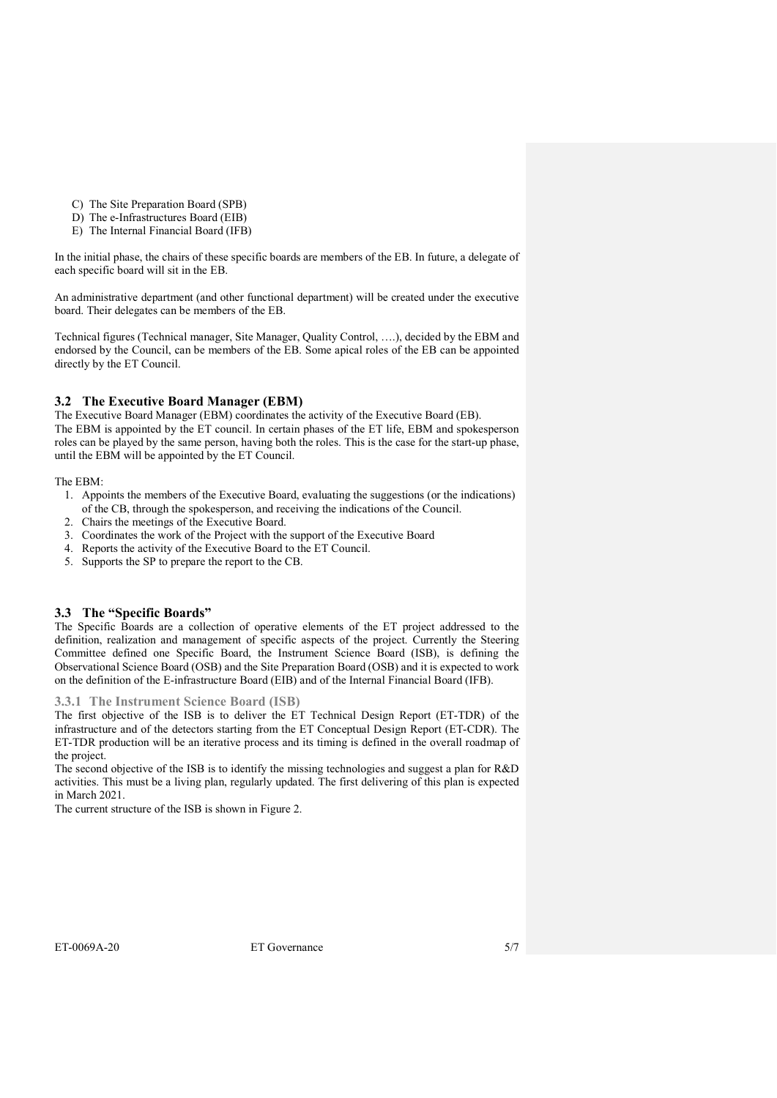- C) The Site Preparation Board (SPB)
- D) The e-Infrastructures Board (EIB)
- E) The Internal Financial Board (IFB)

In the initial phase, the chairs of these specific boards are members of the EB. In future, a delegate of each specific board will sit in the EB.

An administrative department (and other functional department) will be created under the executive board. Their delegates can be members of the EB.

Technical figures (Technical manager, Site Manager, Quality Control, ….), decided by the EBM and endorsed by the Council, can be members of the EB. Some apical roles of the EB can be appointed directly by the ET Council.

## <span id="page-4-0"></span>**3.2 The Executive Board Manager (EBM)**

The Executive Board Manager (EBM) coordinates the activity of the Executive Board (EB). The EBM is appointed by the ET council. In certain phases of the ET life, EBM and spokesperson roles can be played by the same person, having both the roles. This is the case for the start-up phase, until the EBM will be appointed by the ET Council.

#### The EBM:

- 1. Appoints the members of the Executive Board, evaluating the suggestions (or the indications) of the CB, through the spokesperson, and receiving the indications of the Council.
- 2. Chairs the meetings of the Executive Board.
- 3. Coordinates the work of the Project with the support of the Executive Board
- 4. Reports the activity of the Executive Board to the ET Council.
- 5. Supports the SP to prepare the report to the CB.

### <span id="page-4-1"></span>**3.3 The "Specific Boards"**

The Specific Boards are a collection of operative elements of the ET project addressed to the definition, realization and management of specific aspects of the project. Currently the Steering Committee defined one Specific Board, the Instrument Science Board (ISB), is defining the Observational Science Board (OSB) and the Site Preparation Board (OSB) and it is expected to work on the definition of the E-infrastructure Board (EIB) and of the Internal Financial Board (IFB).

### <span id="page-4-2"></span>**3.3.1 The Instrument Science Board (ISB)**

The first objective of the ISB is to deliver the ET Technical Design Report (ET-TDR) of the infrastructure and of the detectors starting from the ET Conceptual Design Report (ET-CDR). The ET-TDR production will be an iterative process and its timing is defined in the overall roadmap of the project.

The second objective of the ISB is to identify the missing technologies and suggest a plan for R&D activities. This must be a living plan, regularly updated. The first delivering of this plan is expected in March 2021.

The current structure of the ISB is shown in [Figure 2.](#page-5-5)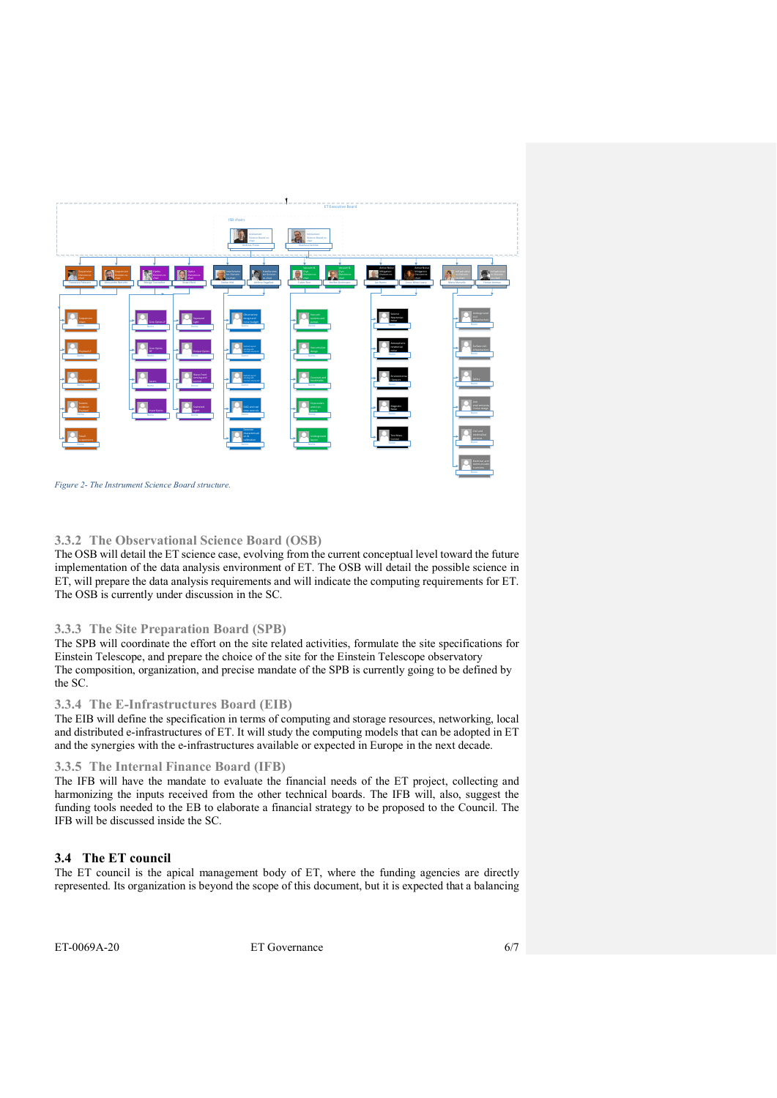

<span id="page-5-5"></span>

### <span id="page-5-0"></span>**3.3.2 The Observational Science Board (OSB)**

The OSB will detail the ET science case, evolving from the current conceptual level toward the future implementation of the data analysis environment of ET. The OSB will detail the possible science in ET, will prepare the data analysis requirements and will indicate the computing requirements for ET. The OSB is currently under discussion in the SC.

#### <span id="page-5-1"></span>**3.3.3 The Site Preparation Board (SPB)**

The SPB will coordinate the effort on the site related activities, formulate the site specifications for Einstein Telescope, and prepare the choice of the site for the Einstein Telescope observatory The composition, organization, and precise mandate of the SPB is currently going to be defined by the SC.

#### <span id="page-5-2"></span>**3.3.4 The E-Infrastructures Board (EIB)**

The EIB will define the specification in terms of computing and storage resources, networking, local and distributed e-infrastructures of ET. It will study the computing models that can be adopted in ET and the synergies with the e-infrastructures available or expected in Europe in the next decade.

#### <span id="page-5-3"></span>**3.3.5 The Internal Finance Board (IFB)**

The IFB will have the mandate to evaluate the financial needs of the ET project, collecting and harmonizing the inputs received from the other technical boards. The IFB will, also, suggest the funding tools needed to the EB to elaborate a financial strategy to be proposed to the Council. The IFB will be discussed inside the SC.

#### <span id="page-5-4"></span>**3.4 The ET council**

The ET council is the apical management body of ET, where the funding agencies are directly represented. Its organization is beyond the scope of this document, but it is expected that a balancing

ET-0069A-20 ET Governance 6/7